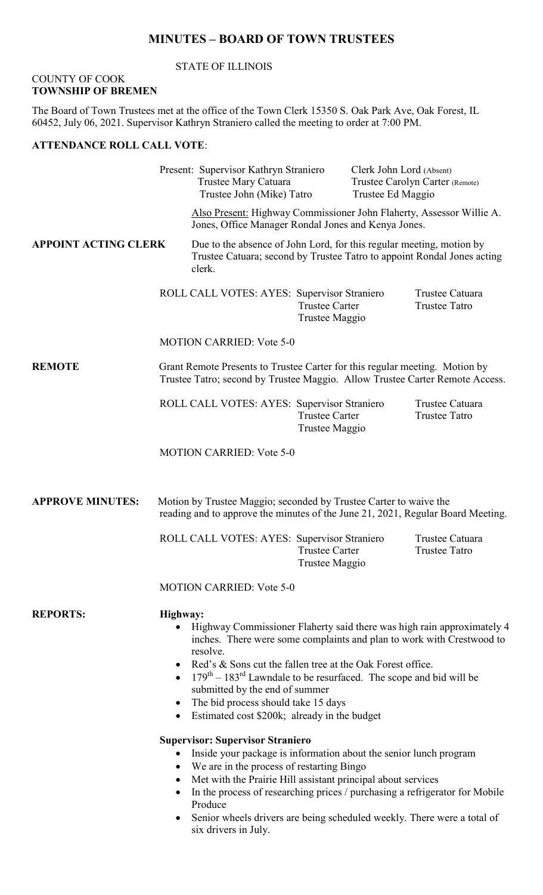## **MINUTES – BOARD OF TOWN TRUSTEES**

#### STATE OF ILLINOIS

#### COUNTY OF COOK **TOWNSHIP OF BREMEN**

The Board of Town Trustees met at the office of the Town Clerk 15350 S. Oak Park Ave, Oak Forest, IL 60452, July 06, 2021. Supervisor Kathryn Straniero called the meeting to order at 7:00 PM.

## **ATTENDANCE ROLL CALL VOTE**:

|                             |                                                                                                                                                                                                                                                                                                                                                                                                                                                     | Present: Supervisor Kathryn Straniero<br>Trustee Mary Catuara<br>Trustee John (Mike) Tatro                                                                |                                         | Clerk John Lord (Absent)<br>Trustee Carolyn Carter (Remote)<br>Trustee Ed Maggio |                                         |
|-----------------------------|-----------------------------------------------------------------------------------------------------------------------------------------------------------------------------------------------------------------------------------------------------------------------------------------------------------------------------------------------------------------------------------------------------------------------------------------------------|-----------------------------------------------------------------------------------------------------------------------------------------------------------|-----------------------------------------|----------------------------------------------------------------------------------|-----------------------------------------|
|                             |                                                                                                                                                                                                                                                                                                                                                                                                                                                     | Also Present: Highway Commissioner John Flaherty, Assessor Willie A.<br>Jones, Office Manager Rondal Jones and Kenya Jones.                               |                                         |                                                                                  |                                         |
| <b>APPOINT ACTING CLERK</b> |                                                                                                                                                                                                                                                                                                                                                                                                                                                     | Due to the absence of John Lord, for this regular meeting, motion by<br>Trustee Catuara; second by Trustee Tatro to appoint Rondal Jones acting<br>clerk. |                                         |                                                                                  |                                         |
|                             |                                                                                                                                                                                                                                                                                                                                                                                                                                                     | ROLL CALL VOTES: AYES: Supervisor Straniero                                                                                                               | <b>Trustee Carter</b><br>Trustee Maggio |                                                                                  | Trustee Catuara<br><b>Trustee Tatro</b> |
|                             | <b>MOTION CARRIED: Vote 5-0</b>                                                                                                                                                                                                                                                                                                                                                                                                                     |                                                                                                                                                           |                                         |                                                                                  |                                         |
| <b>REMOTE</b>               | Grant Remote Presents to Trustee Carter for this regular meeting. Motion by<br>Trustee Tatro; second by Trustee Maggio. Allow Trustee Carter Remote Access.                                                                                                                                                                                                                                                                                         |                                                                                                                                                           |                                         |                                                                                  |                                         |
|                             |                                                                                                                                                                                                                                                                                                                                                                                                                                                     | ROLL CALL VOTES: AYES: Supervisor Straniero                                                                                                               | <b>Trustee Carter</b><br>Trustee Maggio |                                                                                  | Trustee Catuara<br><b>Trustee Tatro</b> |
|                             |                                                                                                                                                                                                                                                                                                                                                                                                                                                     | <b>MOTION CARRIED: Vote 5-0</b>                                                                                                                           |                                         |                                                                                  |                                         |
| <b>APPROVE MINUTES:</b>     | Motion by Trustee Maggio; seconded by Trustee Carter to waive the<br>reading and to approve the minutes of the June 21, 2021, Regular Board Meeting.                                                                                                                                                                                                                                                                                                |                                                                                                                                                           |                                         |                                                                                  |                                         |
|                             |                                                                                                                                                                                                                                                                                                                                                                                                                                                     | ROLL CALL VOTES: AYES: Supervisor Straniero                                                                                                               | <b>Trustee Carter</b><br>Trustee Maggio |                                                                                  | Trustee Catuara<br><b>Trustee Tatro</b> |
|                             | <b>MOTION CARRIED: Vote 5-0</b>                                                                                                                                                                                                                                                                                                                                                                                                                     |                                                                                                                                                           |                                         |                                                                                  |                                         |
| <b>REPORTS:</b>             | Highway:<br>Highway Commissioner Flaherty said there was high rain approximately 4<br>inches. There were some complaints and plan to work with Crestwood to<br>resolve.<br>Red's & Sons cut the fallen tree at the Oak Forest office.<br>$179th - 183rd$ Lawndale to be resurfaced. The scope and bid will be<br>submitted by the end of summer<br>The bid process should take 15 days<br>$\bullet$<br>Estimated cost \$200k; already in the budget |                                                                                                                                                           |                                         |                                                                                  |                                         |
|                             | <b>Supervisor: Supervisor Straniero</b><br>Inside your package is information about the senior lunch program<br>$\bullet$<br>We are in the process of restarting Bingo<br>$\bullet$<br>Met with the Prairie Hill assistant principal about services<br>In the process of researching prices / purchasing a refrigerator for Mobile<br>Produce<br>Senior wheels drivers are being scheduled weekly. There were a total of<br>six drivers in July.    |                                                                                                                                                           |                                         |                                                                                  |                                         |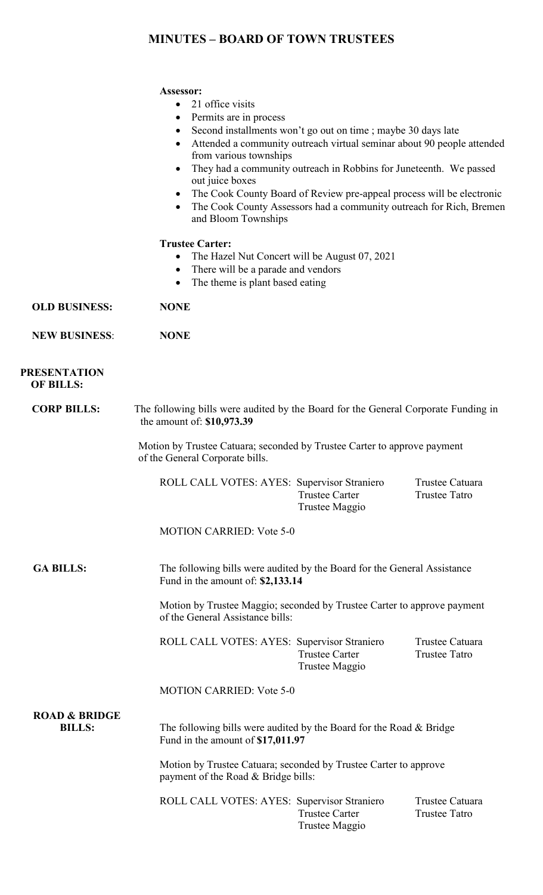## **MINUTES – BOARD OF TOWN TRUSTEES**

#### **Assessor:**

- 21 office visits
- Permits are in process
- Second installments won't go out on time; maybe 30 days late
- Attended a community outreach virtual seminar about 90 people attended from various townships
- They had a community outreach in Robbins for Juneteenth. We passed out juice boxes
- The Cook County Board of Review pre-appeal process will be electronic
- The Cook County Assessors had a community outreach for Rich, Bremen and Bloom Townships

#### **Trustee Carter:**

- The Hazel Nut Concert will be August 07, 2021
- There will be a parade and vendors
- The theme is plant based eating

**OLD BUSINESS: NONE**

**NEW BUSINESS**: **NONE**

#### **PRESENTATION OF BILLS:**

**CORP BILLS:** The following bills were audited by the Board for the General Corporate Funding in the amount of: **\$10,973.39**

> Motion by Trustee Catuara; seconded by Trustee Carter to approve payment of the General Corporate bills.

ROLL CALL VOTES: AYES: Supervisor Straniero Trustee Catuara Trustee Carter Trustee Tatro Trustee Maggio

MOTION CARRIED: Vote 5-0

 **GA BILLS:** The following bills were audited by the Board for the General Assistance Fund in the amount of: **\$2,133.14**

> Motion by Trustee Maggio; seconded by Trustee Carter to approve payment of the General Assistance bills:

> ROLL CALL VOTES: AYES: Supervisor Straniero Trustee Catuara Trustee Carter Trustee Tatro Trustee Maggio

MOTION CARRIED: Vote 5-0

# **ROAD & BRIDGE**

**BILLS:** The following bills were audited by the Board for the Road & Bridge Fund in the amount of **\$17,011.97**

> Motion by Trustee Catuara; seconded by Trustee Carter to approve payment of the Road & Bridge bills:

ROLL CALL VOTES: AYES: Supervisor Straniero Trustee Catuara<br>Trustee Carter Trustee Tatro Trustee Carter Trustee Maggio